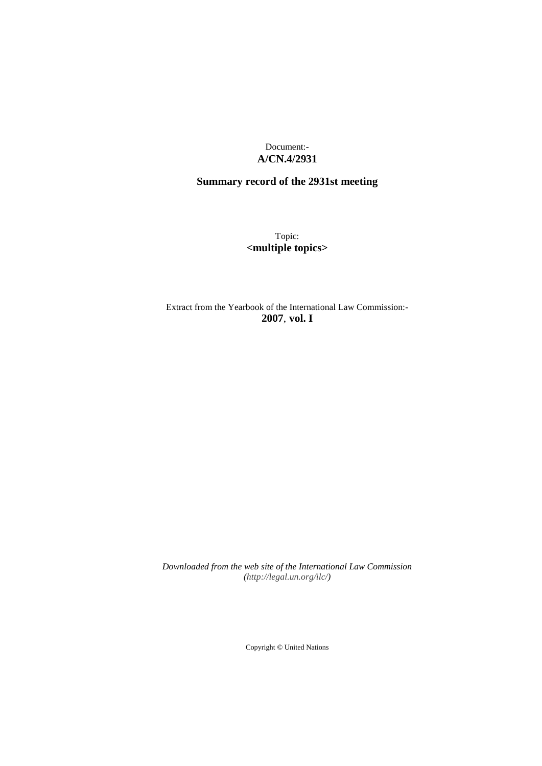Document:- **A/CN.4/2931**

# **Summary record of the 2931st meeting**

Topic: **<multiple topics>**

Extract from the Yearbook of the International Law Commission:- **2007**, **vol. I**

*Downloaded from the web site of the International Law Commission (http://legal.un.org/ilc/)*

Copyright © United Nations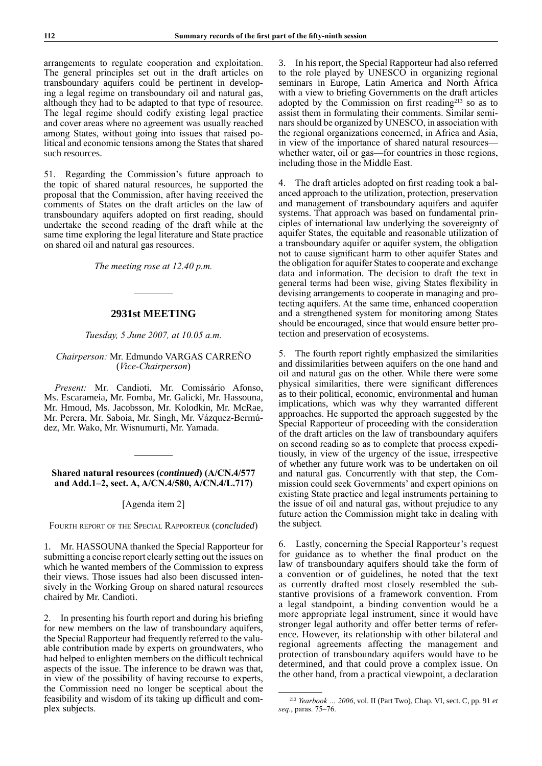arrangements to regulate cooperation and exploitation. The general principles set out in the draft articles on transboundary aquifers could be pertinent in developing a legal regime on transboundary oil and natural gas, although they had to be adapted to that type of resource. The legal regime should codify existing legal practice and cover areas where no agreement was usually reached among States, without going into issues that raised political and economic tensions among the States that shared such resources.

51. Regarding the Commission's future approach to the topic of shared natural resources, he supported the proposal that the Commission, after having received the comments of States on the draft articles on the law of transboundary aquifers adopted on first reading, should undertake the second reading of the draft while at the same time exploring the legal literature and State practice on shared oil and natural gas resources.

*The meeting rose at 12.40 p.m.*

## **2931st MEETING**

## *Tuesday, 5 June 2007, at 10.05 a.m.*

## *Chairperson:* Mr. Edmundo VARGAS CARREÑO (*Vice-Chairperson*)

*Present:* Mr. Candioti, Mr. Comissário Afonso, Ms. Escarameia, Mr. Fomba, Mr. Galicki, Mr. Hassouna, Mr. Hmoud, Ms. Jacobsson, Mr. Kolodkin, Mr. McRae, Mr. Perera, Mr. Saboia, Mr. Singh, Mr. Vázquez-Bermúdez, Mr. Wako, Mr. Wisnumurti, Mr. Yamada.

## **Shared natural resources (***continued***) (A/CN.4/577 and Add.1–2, sect. A, A/CN.4/580, A/CN.4/L.717)**

## [Agenda item 2]

Fourth report of the Special Rapporteur (*concluded*)

1. Mr. HASSOUNA thanked the Special Rapporteur for submitting a concise report clearly setting out the issues on which he wanted members of the Commission to express their views. Those issues had also been discussed intensively in the Working Group on shared natural resources chaired by Mr. Candioti.

2. In presenting his fourth report and during his briefing for new members on the law of transboundary aquifers, the Special Rapporteur had frequently referred to the valuable contribution made by experts on groundwaters, who had helped to enlighten members on the difficult technical aspects of the issue. The inference to be drawn was that, in view of the possibility of having recourse to experts, the Commission need no longer be sceptical about the feasibility and wisdom of its taking up difficult and complex subjects.

3. In his report, the Special Rapporteur had also referred to the role played by UNESCO in organizing regional seminars in Europe, Latin America and North Africa with a view to briefing Governments on the draft articles adopted by the Commission on first reading $213$  so as to assist them in formulating their comments. Similar seminars should be organized by UNESCO, in association with the regional organizations concerned, in Africa and Asia, in view of the importance of shared natural resources whether water, oil or gas—for countries in those regions, including those in the Middle East.

4. The draft articles adopted on first reading took a balanced approach to the utilization, protection, preservation and management of transboundary aquifers and aquifer systems. That approach was based on fundamental principles of international law underlying the sovereignty of aquifer States, the equitable and reasonable utilization of a transboundary aquifer or aquifer system, the obligation not to cause significant harm to other aquifer States and the obligation for aquifer States to cooperate and exchange data and information. The decision to draft the text in general terms had been wise, giving States flexibility in devising arrangements to cooperate in managing and protecting aquifers. At the same time, enhanced cooperation and a strengthened system for monitoring among States should be encouraged, since that would ensure better protection and preservation of ecosystems.

5. The fourth report rightly emphasized the similarities and dissimilarities between aquifers on the one hand and oil and natural gas on the other. While there were some physical similarities, there were significant differences as to their political, economic, environmental and human implications, which was why they warranted different approaches. He supported the approach suggested by the Special Rapporteur of proceeding with the consideration of the draft articles on the law of transboundary aquifers on second reading so as to complete that process expeditiously, in view of the urgency of the issue, irrespective of whether any future work was to be undertaken on oil and natural gas. Concurrently with that step, the Commission could seek Governments' and expert opinions on existing State practice and legal instruments pertaining to the issue of oil and natural gas, without prejudice to any future action the Commission might take in dealing with the subject.

6. Lastly, concerning the Special Rapporteur's request for guidance as to whether the final product on the law of transboundary aquifers should take the form of a convention or of guidelines, he noted that the text as currently drafted most closely resembled the substantive provisions of a framework convention. From a legal standpoint, a binding convention would be a more appropriate legal instrument, since it would have stronger legal authority and offer better terms of reference. However, its relationship with other bilateral and regional agreements affecting the management and protection of transboundary aquifers would have to be determined, and that could prove a complex issue. On the other hand, from a practical viewpoint, a declaration

<sup>213</sup> *Yearbook … 2006*, vol. II (Part Two), Chap. VI, sect. C, pp. 91 *et seq.*, paras. 75–76.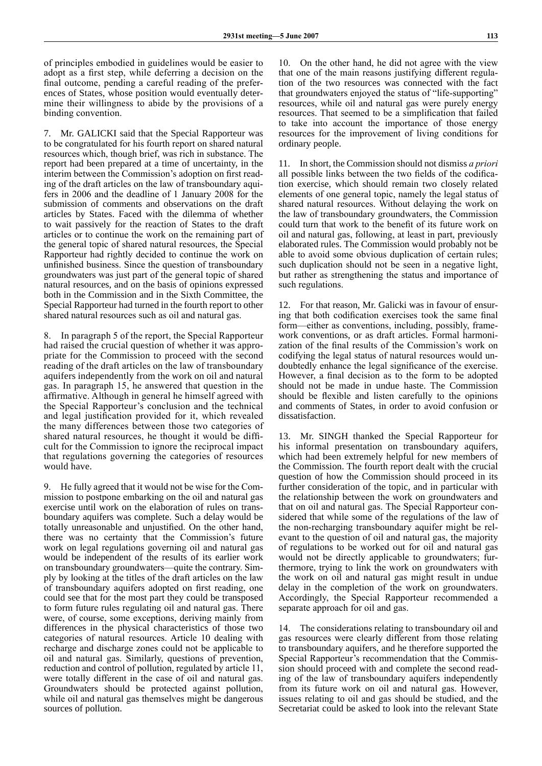of principles embodied in guidelines would be easier to adopt as a first step, while deferring a decision on the final outcome, pending a careful reading of the preferences of States, whose position would eventually determine their willingness to abide by the provisions of a binding convention.

7. Mr. GALICKI said that the Special Rapporteur was to be congratulated for his fourth report on shared natural resources which, though brief, was rich in substance. The report had been prepared at a time of uncertainty, in the interim between the Commission's adoption on first reading of the draft articles on the law of transboundary aquifers in 2006 and the deadline of 1 January 2008 for the submission of comments and observations on the draft articles by States. Faced with the dilemma of whether to wait passively for the reaction of States to the draft articles or to continue the work on the remaining part of the general topic of shared natural resources, the Special Rapporteur had rightly decided to continue the work on unfinished business. Since the question of transboundary groundwaters was just part of the general topic of shared natural resources, and on the basis of opinions expressed both in the Commission and in the Sixth Committee, the Special Rapporteur had turned in the fourth report to other shared natural resources such as oil and natural gas.

8. In paragraph 5 of the report, the Special Rapporteur had raised the crucial question of whether it was appropriate for the Commission to proceed with the second reading of the draft articles on the law of transboundary aquifers independently from the work on oil and natural gas. In paragraph 15, he answered that question in the affirmative. Although in general he himself agreed with the Special Rapporteur's conclusion and the technical and legal justification provided for it, which revealed the many differences between those two categories of shared natural resources, he thought it would be difficult for the Commission to ignore the reciprocal impact that regulations governing the categories of resources would have.

9. He fully agreed that it would not be wise for the Commission to postpone embarking on the oil and natural gas exercise until work on the elaboration of rules on transboundary aquifers was complete. Such a delay would be totally unreasonable and unjustified. On the other hand, there was no certainty that the Commission's future work on legal regulations governing oil and natural gas would be independent of the results of its earlier work on transboundary groundwaters—quite the contrary. Simply by looking at the titles of the draft articles on the law of transboundary aquifers adopted on first reading, one could see that for the most part they could be transposed to form future rules regulating oil and natural gas. There were, of course, some exceptions, deriving mainly from differences in the physical characteristics of those two categories of natural resources. Article 10 dealing with recharge and discharge zones could not be applicable to oil and natural gas. Similarly, questions of prevention, reduction and control of pollution, regulated by article 11, were totally different in the case of oil and natural gas. Groundwaters should be protected against pollution, while oil and natural gas themselves might be dangerous sources of pollution.

10. On the other hand, he did not agree with the view that one of the main reasons justifying different regulation of the two resources was connected with the fact that groundwaters enjoyed the status of "life-supporting" resources, while oil and natural gas were purely energy resources. That seemed to be a simplification that failed to take into account the importance of those energy resources for the improvement of living conditions for ordinary people.

11. In short, the Commission should not dismiss *a priori* all possible links between the two fields of the codification exercise, which should remain two closely related elements of one general topic, namely the legal status of shared natural resources. Without delaying the work on the law of transboundary groundwaters, the Commission could turn that work to the benefit of its future work on oil and natural gas, following, at least in part, previously elaborated rules. The Commission would probably not be able to avoid some obvious duplication of certain rules; such duplication should not be seen in a negative light, but rather as strengthening the status and importance of such regulations.

12. For that reason, Mr. Galicki was in favour of ensuring that both codification exercises took the same final form—either as conventions, including, possibly, framework conventions, or as draft articles. Formal harmonization of the final results of the Commission's work on codifying the legal status of natural resources would undoubtedly enhance the legal significance of the exercise. However, a final decision as to the form to be adopted should not be made in undue haste. The Commission should be flexible and listen carefully to the opinions and comments of States, in order to avoid confusion or dissatisfaction.

13. Mr. SINGH thanked the Special Rapporteur for his informal presentation on transboundary aquifers, which had been extremely helpful for new members of the Commission. The fourth report dealt with the crucial question of how the Commission should proceed in its further consideration of the topic, and in particular with the relationship between the work on groundwaters and that on oil and natural gas. The Special Rapporteur considered that while some of the regulations of the law of the non-recharging transboundary aquifer might be relevant to the question of oil and natural gas, the majority of regulations to be worked out for oil and natural gas would not be directly applicable to groundwaters; furthermore, trying to link the work on groundwaters with the work on oil and natural gas might result in undue delay in the completion of the work on groundwaters. Accordingly, the Special Rapporteur recommended a separate approach for oil and gas.

14. The considerations relating to transboundary oil and gas resources were clearly different from those relating to transboundary aquifers, and he therefore supported the Special Rapporteur's recommendation that the Commission should proceed with and complete the second reading of the law of transboundary aquifers independently from its future work on oil and natural gas. However, issues relating to oil and gas should be studied, and the Secretariat could be asked to look into the relevant State